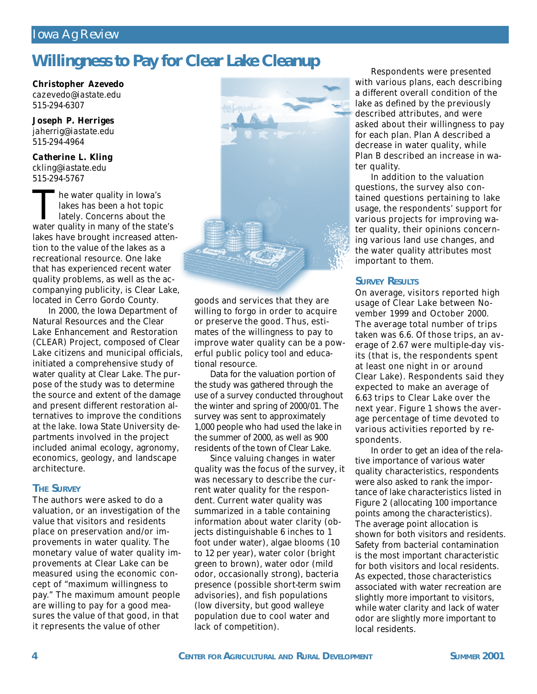## *Iowa Ag Review*

## **Willingness to Pay for Clear Lake Cleanup**

*Christopher Azevedo cazevedo@iastate.edu 515-294-6307*

*Joseph P. Herriges jaherrig@iastate.edu 515-294-4964*

*Catherine L. Kling ckling@iastate.edu 515-294-5767*

The water quality in Iowa's<br>lakes has been a hot topic<br>lately. Concerns about the<br>water quality in many of the state's he water quality in Iowa's lakes has been a hot topic lately. Concerns about the lakes have brought increased attention to the value of the lakes as a recreational resource. One lake that has experienced recent water quality problems, as well as the accompanying publicity, is Clear Lake, located in Cerro Gordo County.

In 2000, the Iowa Department of Natural Resources and the Clear Lake Enhancement and Restoration (CLEAR) Project, composed of Clear Lake citizens and municipal officials, initiated a comprehensive study of water quality at Clear Lake. The purpose of the study was to determine the source and extent of the damage and present different restoration alternatives to improve the conditions at the lake. Iowa State University departments involved in the project included animal ecology, agronomy, economics, geology, and landscape architecture.

#### **THE SURVEY**

The authors were asked to do a valuation, or an investigation of the value that visitors and residents place on preservation and/or improvements in water quality. The monetary value of water quality improvements at Clear Lake can be measured using the economic concept of "maximum willingness to pay." The maximum amount people are willing to pay for a good measures the value of that good, in that it represents the value of other



goods and services that they are willing to forgo in order to acquire or preserve the good. Thus, estimates of the willingness to pay to improve water quality can be a powerful public policy tool and educational resource.

Data for the valuation portion of the study was gathered through the use of a survey conducted throughout the winter and spring of 2000/01. The survey was sent to approximately 1,000 people who had used the lake in the summer of 2000, as well as 900 residents of the town of Clear Lake.

Since valuing changes in water quality was the focus of the survey, it was necessary to describe the current water quality for the respondent. Current water quality was summarized in a table containing information about water clarity (objects distinguishable 6 inches to 1 foot under water), algae blooms (10 to 12 per year), water color (bright green to brown), water odor (mild odor, occasionally strong), bacteria presence (possible short-term swim advisories), and fish populations (low diversity, but good walleye population due to cool water and lack of competition).

Respondents were presented with various plans, each describing a different overall condition of the lake as defined by the previously described attributes, and were asked about their willingness to pay for each plan. Plan A described a decrease in water quality, while Plan B described an increase in water quality.

In addition to the valuation questions, the survey also contained questions pertaining to lake usage, the respondents' support for various projects for improving water quality, their opinions concerning various land use changes, and the water quality attributes most important to them.

#### **SURVEY RESULTS**

On average, visitors reported high usage of Clear Lake between November 1999 and October 2000. The average total number of trips taken was 6.6. Of those trips, an average of 2.67 were multiple-day visits (that is, the respondents spent at least one night in or around Clear Lake). Respondents said they expected to make an average of 6.63 trips to Clear Lake over the next year. Figure 1 shows the average percentage of time devoted to various activities reported by respondents.

In order to get an idea of the relative importance of various water quality characteristics, respondents were also asked to rank the importance of lake characteristics listed in Figure 2 (allocating 100 importance points among the characteristics). The average point allocation is shown for both visitors and residents. Safety from bacterial contamination is the most important characteristic for both visitors and local residents. As expected, those characteristics associated with water recreation are slightly more important to visitors, while water clarity and lack of water odor are slightly more important to local residents.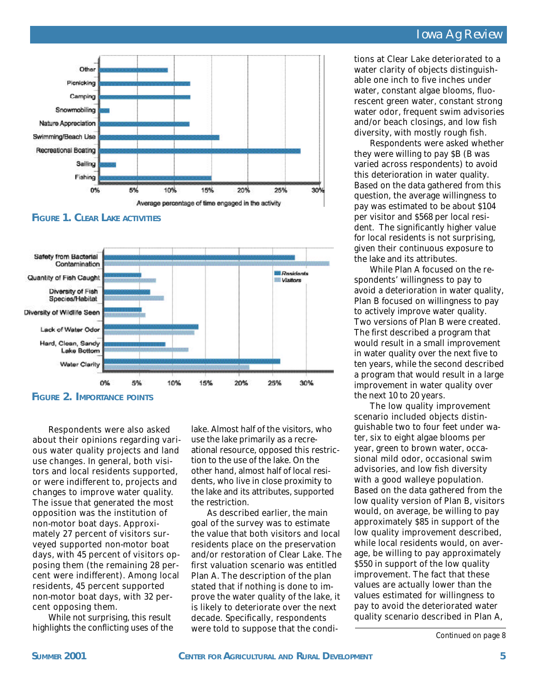### *Iowa Ag Review*



**FIGURE 1. CLEAR LAKE ACTIVITIES**



**FIGURE 2. IMPORTANCE POINTS**

Respondents were also asked about their opinions regarding various water quality projects and land use changes. In general, both visitors and local residents supported, or were indifferent to, projects and changes to improve water quality. The issue that generated the most opposition was the institution of non-motor boat days. Approximately 27 percent of visitors surveyed supported non-motor boat days, with 45 percent of visitors opposing them (the remaining 28 percent were indifferent). Among local residents, 45 percent supported non-motor boat days, with 32 percent opposing them.

While not surprising, this result highlights the conflicting uses of the lake. Almost half of the visitors, who use the lake primarily as a recreational resource, opposed this restriction to the use of the lake. On the other hand, almost half of local residents, who live in close proximity to the lake and its attributes, supported the restriction.

As described earlier, the main goal of the survey was to estimate the value that both visitors and local residents place on the preservation and/or restoration of Clear Lake. The first valuation scenario was entitled Plan A. The description of the plan stated that if nothing is done to improve the water quality of the lake, it is likely to deteriorate over the next decade. Specifically, respondents were told to suppose that the conditions at Clear Lake deteriorated to a water clarity of objects distinguishable one inch to five inches under water, constant algae blooms, fluorescent green water, constant strong water odor, frequent swim advisories and/or beach closings, and low fish diversity, with mostly rough fish.

Respondents were asked whether they were willing to pay \$B (B was varied across respondents) to avoid this deterioration in water quality. Based on the data gathered from this question, the average willingness to pay was estimated to be about \$104 per visitor and \$568 per local resident. The significantly higher value for local residents is not surprising, given their continuous exposure to the lake and its attributes.

While Plan A focused on the respondents' willingness to pay to avoid a deterioration in water quality, Plan B focused on willingness to pay to actively improve water quality. Two versions of Plan B were created. The first described a program that would result in a small improvement in water quality over the next five to ten years, while the second described a program that would result in a large improvement in water quality over the next 10 to 20 years.

The low quality improvement scenario included objects distinguishable two to four feet under water, six to eight algae blooms per year, green to brown water, occasional mild odor, occasional swim advisories, and low fish diversity with a good walleye population. Based on the data gathered from the low quality version of Plan B, visitors would, on average, be willing to pay approximately \$85 in support of the low quality improvement described, while local residents would, on average, be willing to pay approximately \$550 in support of the low quality improvement. The fact that these values are actually lower than the values estimated for willingness to pay to avoid the deteriorated water quality scenario described in Plan A,

*Continued on page 8*